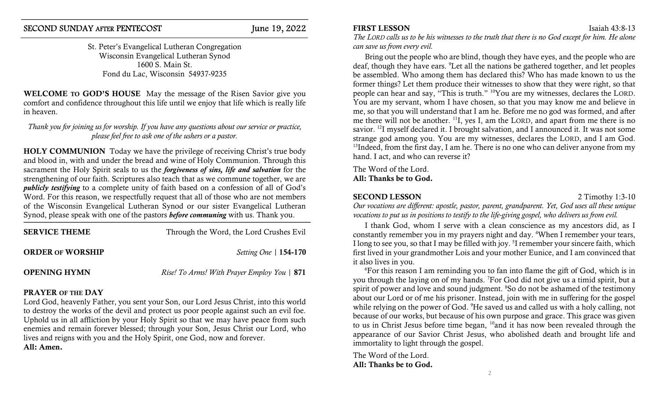St. Peter's Evangelical Lutheran Congregation Wisconsin Evangelical Lutheran Synod 1600 S. Main St. Fond du Lac, Wisconsin 54937-9235

WELCOME TO GOD'S HOUSE May the message of the Risen Savior give you comfort and confidence throughout this life until we enjoy that life which is really life in heaven.

Thank you for joining us for worship. If you have any questions about our service or practice, please feel free to ask one of the ushers or a pastor.

HOLY COMMUNION Today we have the privilege of receiving Christ's true body and blood in, with and under the bread and wine of Holy Communion. Through this sacrament the Holy Spirit seals to us the *forgiveness of sins*, *life and salvation* for the strengthening of our faith. Scriptures also teach that as we commune together, we are publicly testifying to a complete unity of faith based on a confession of all of God's Word. For this reason, we respectfully request that all of those who are not members of the Wisconsin Evangelical Lutheran Synod or our sister Evangelical Lutheran Synod, please speak with one of the pastors before communing with us. Thank you.

| <b>SERVICE THEME</b>    | Through the Word, the Lord Crushes Evil     |
|-------------------------|---------------------------------------------|
| <b>ORDER OF WORSHIP</b> | <i>Setting One</i>   154-170                |
| <b>OPENING HYMN</b>     | Rise! To Arms! With Prayer Employ You   871 |

# PRAYER OF THE DAY

Lord God, heavenly Father, you sent your Son, our Lord Jesus Christ, into this world to destroy the works of the devil and protect us poor people against such an evil foe. Uphold us in all affliction by your Holy Spirit so that we may have peace from such enemies and remain forever blessed; through your Son, Jesus Christ our Lord, who lives and reigns with you and the Holy Spirit, one God, now and forever. All: Amen.

## **FIRST LESSON** Isaiah 43:8-13

The LORD calls us to be his witnesses to the truth that there is no God except for him. He alone can save us from every evil.

Bring out the people who are blind, though they have eyes, and the people who are deaf, though they have ears. <sup>9</sup>Let all the nations be gathered together, and let peoples be assembled. Who among them has declared this? Who has made known to us the former things? Let them produce their witnesses to show that they were right, so that people can hear and say, "This is truth." <sup>10</sup>You are my witnesses, declares the LORD. You are my servant, whom I have chosen, so that you may know me and believe in me, so that you will understand that I am he. Before me no god was formed, and after me there will not be another. <sup>11</sup>I, yes I, am the LORD, and apart from me there is no savior. <sup>12</sup>I myself declared it. I brought salvation, and I announced it. It was not some strange god among you. You are my witnesses, declares the LORD, and I am God. <sup>13</sup>Indeed, from the first day, I am he. There is no one who can deliver anyone from my hand. I act, and who can reverse it?

The Word of the Lord. All: Thanks be to God.

# SECOND LESSON 2 Timothy 1:3-10

Our vocations are different: apostle, pastor, parent, grandparent. Yet, God uses all these unique vocations to put us in positions to testify to the life-giving gospel, who delivers us from evil.

I thank God, whom I serve with a clean conscience as my ancestors did, as I constantly remember you in my prayers night and day. <sup>4</sup>When I remember your tears, I long to see you, so that I may be filled with joy. <sup>5</sup>I remember your sincere faith, which first lived in your grandmother Lois and your mother Eunice, and I am convinced that it also lives in you.

<sup>6</sup>For this reason I am reminding you to fan into flame the gift of God, which is in you through the laying on of my hands. <sup>7</sup>For God did not give us a timid spirit, but a spirit of power and love and sound judgment. <sup>8</sup>So do not be ashamed of the testimony about our Lord or of me his prisoner. Instead, join with me in suffering for the gospel while relying on the power of God. <sup>9</sup>He saved us and called us with a holy calling, not because of our works, but because of his own purpose and grace. This grace was given to us in Christ Jesus before time began, <sup>10</sup>and it has now been revealed through the appearance of our Savior Christ Jesus, who abolished death and brought life and immortality to light through the gospel.

The Word of the Lord. All: Thanks be to God.